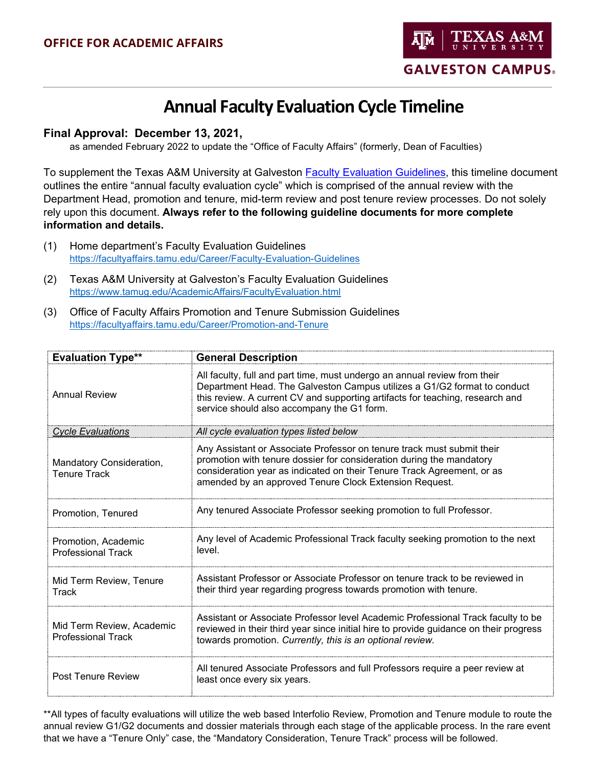

#### **Final Approval: December 13, 2021,**

as amended February 2022 to update the "Office of Faculty Affairs" (formerly, Dean of Faculties)

To supplement the Texas A&M University at Galveston [Faculty Evaluation Guidelines,](https://www.tamug.edu/AcademicAffairs/FacultyEvaluation.html) this timeline document outlines the entire "annual faculty evaluation cycle" which is comprised of the annual review with the Department Head, promotion and tenure, mid-term review and post tenure review processes. Do not solely rely upon this document. **Always refer to the following guideline documents for more complete information and details.**

- (1) Home department's Faculty Evaluation Guidelines <https://facultyaffairs.tamu.edu/Career/Faculty-Evaluation-Guidelines>
- (2) Texas A&M University at Galveston's Faculty Evaluation Guidelines <https://www.tamug.edu/AcademicAffairs/FacultyEvaluation.html>
- (3) Office of Faculty Affairs Promotion and Tenure Submission Guidelines <https://facultyaffairs.tamu.edu/Career/Promotion-and-Tenure>

| <b>Evaluation Type**</b>                               | <b>General Description</b>                                                                                                                                                                                                                                                           |
|--------------------------------------------------------|--------------------------------------------------------------------------------------------------------------------------------------------------------------------------------------------------------------------------------------------------------------------------------------|
| <b>Annual Review</b>                                   | All faculty, full and part time, must undergo an annual review from their<br>Department Head. The Galveston Campus utilizes a G1/G2 format to conduct<br>this review. A current CV and supporting artifacts for teaching, research and<br>service should also accompany the G1 form. |
| <b>Cycle Evaluations</b>                               | All cycle evaluation types listed below                                                                                                                                                                                                                                              |
| Mandatory Consideration,<br><b>Tenure Track</b>        | Any Assistant or Associate Professor on tenure track must submit their<br>promotion with tenure dossier for consideration during the mandatory<br>consideration year as indicated on their Tenure Track Agreement, or as<br>amended by an approved Tenure Clock Extension Request.   |
| Promotion, Tenured                                     | Any tenured Associate Professor seeking promotion to full Professor.                                                                                                                                                                                                                 |
| Promotion, Academic<br><b>Professional Track</b>       | Any level of Academic Professional Track faculty seeking promotion to the next<br>level.                                                                                                                                                                                             |
| Mid Term Review, Tenure<br>Track                       | Assistant Professor or Associate Professor on tenure track to be reviewed in<br>their third year regarding progress towards promotion with tenure.                                                                                                                                   |
| Mid Term Review, Academic<br><b>Professional Track</b> | Assistant or Associate Professor level Academic Professional Track faculty to be<br>reviewed in their third year since initial hire to provide guidance on their progress<br>towards promotion. Currently, this is an optional review.                                               |
| Post Tenure Review                                     | All tenured Associate Professors and full Professors require a peer review at<br>least once every six years.                                                                                                                                                                         |

\*\*All types of faculty evaluations will utilize the web based Interfolio Review, Promotion and Tenure module to route the annual review G1/G2 documents and dossier materials through each stage of the applicable process. In the rare event that we have a "Tenure Only" case, the "Mandatory Consideration, Tenure Track" process will be followed.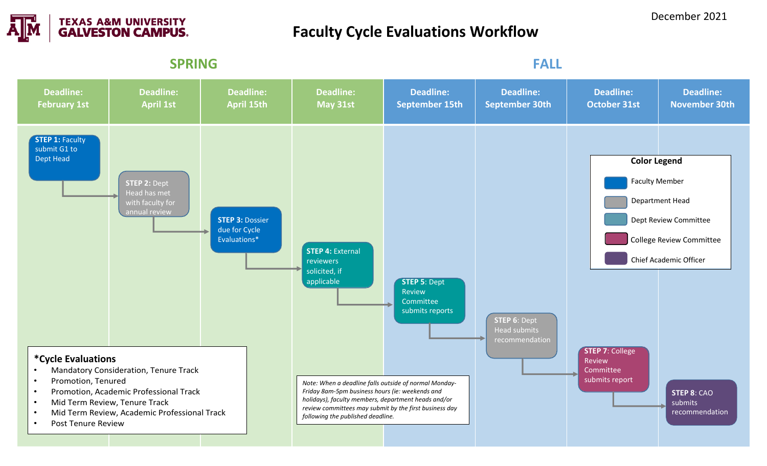

# **Faculty Cycle Evaluations Workflow**

**SPRING FALL Deadline: February 1st Deadline: April 1st Deadline: April 15th Deadline: May 31st Deadline: September 15th Deadline: September 30th Deadline: October 31st Deadline: November 30th STEP 1: Faculty** submit G1 to Dept Head **STEP 2:** Dept Head has met with faculty for annual review **STEP 3:** Dossier due for Cycle Evaluations\* **STEP 4:** External reviewers solicited, if applicable **STEP 5**: Dept Review Committee submits reports **STEP 6**: Dept Head submits recommendation **Color Legend** Faculty Member Department Head Dept Review Committee College Review Committee Chief Academic Officer **\*Cycle Evaluations** • Mandatory Consideration, Tenure Track • Promotion, Tenured • Promotion, Academic Professional Track • Mid Term Review, Tenure Track • Mid Term Review, Academic Professional Track • Post Tenure Review **STEP 7**: College Review Committee submits report **STEP 8**: CAO submits recommendation *Note: When a deadline falls outside of normal Monday-Friday 8am-5pm business hours (ie: weekends and holidays), faculty members, department heads and/or review committees may submit by the first business day following the published deadline.*

December 2021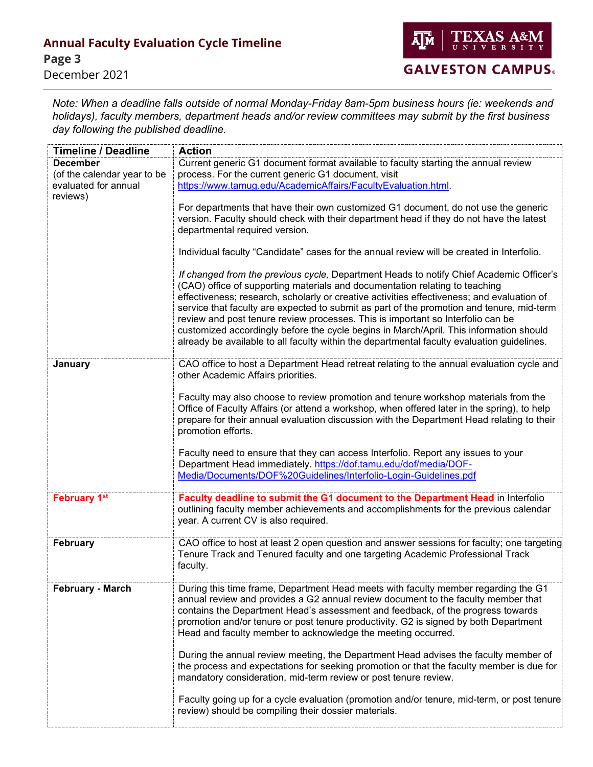*Note: When a deadline falls outside of normal Monday-Friday 8am-5pm business hours (ie: weekends and holidays), faculty members, department heads and/or review committees may submit by the first business day following the published deadline.* 

| <b>Timeline / Deadline</b>                                                         | <b>Action</b>                                                                                                                                                                                                                                                                                                                                                                                                                                                                                                                                                                                                                                                            |
|------------------------------------------------------------------------------------|--------------------------------------------------------------------------------------------------------------------------------------------------------------------------------------------------------------------------------------------------------------------------------------------------------------------------------------------------------------------------------------------------------------------------------------------------------------------------------------------------------------------------------------------------------------------------------------------------------------------------------------------------------------------------|
| <b>December</b><br>(of the calendar year to be<br>evaluated for annual<br>reviews) | Current generic G1 document format available to faculty starting the annual review<br>process. For the current generic G1 document, visit<br>https://www.tamug.edu/AcademicAffairs/FacultyEvaluation.html.                                                                                                                                                                                                                                                                                                                                                                                                                                                               |
|                                                                                    | For departments that have their own customized G1 document, do not use the generic<br>version. Faculty should check with their department head if they do not have the latest<br>departmental required version.                                                                                                                                                                                                                                                                                                                                                                                                                                                          |
|                                                                                    | Individual faculty "Candidate" cases for the annual review will be created in Interfolio.                                                                                                                                                                                                                                                                                                                                                                                                                                                                                                                                                                                |
|                                                                                    | If changed from the previous cycle, Department Heads to notify Chief Academic Officer's<br>(CAO) office of supporting materials and documentation relating to teaching<br>effectiveness; research, scholarly or creative activities effectiveness; and evaluation of<br>service that faculty are expected to submit as part of the promotion and tenure, mid-term<br>review and post tenure review processes. This is important so Interfolio can be<br>customized accordingly before the cycle begins in March/April. This information should<br>already be available to all faculty within the departmental faculty evaluation guidelines.                             |
| January                                                                            | CAO office to host a Department Head retreat relating to the annual evaluation cycle and<br>other Academic Affairs priorities.                                                                                                                                                                                                                                                                                                                                                                                                                                                                                                                                           |
|                                                                                    | Faculty may also choose to review promotion and tenure workshop materials from the<br>Office of Faculty Affairs (or attend a workshop, when offered later in the spring), to help<br>prepare for their annual evaluation discussion with the Department Head relating to their<br>promotion efforts.                                                                                                                                                                                                                                                                                                                                                                     |
|                                                                                    | Faculty need to ensure that they can access Interfolio. Report any issues to your<br>Department Head immediately. https://dof.tamu.edu/dof/media/DOF-<br>Media/Documents/DOF%20Guidelines/Interfolio-Login-Guidelines.pdf                                                                                                                                                                                                                                                                                                                                                                                                                                                |
| <b>February 1st</b>                                                                | Faculty deadline to submit the G1 document to the Department Head in Interfolio<br>outlining faculty member achievements and accomplishments for the previous calendar<br>year. A current CV is also required.                                                                                                                                                                                                                                                                                                                                                                                                                                                           |
| February                                                                           | CAO office to host at least 2 open question and answer sessions for faculty; one targeting<br>Tenure Track and Tenured faculty and one targeting Academic Professional Track<br>faculty.                                                                                                                                                                                                                                                                                                                                                                                                                                                                                 |
| <b>February - March</b>                                                            | During this time frame, Department Head meets with faculty member regarding the G1<br>annual review and provides a G2 annual review document to the faculty member that<br>contains the Department Head's assessment and feedback, of the progress towards<br>promotion and/or tenure or post tenure productivity. G2 is signed by both Department<br>Head and faculty member to acknowledge the meeting occurred.<br>During the annual review meeting, the Department Head advises the faculty member of<br>the process and expectations for seeking promotion or that the faculty member is due for<br>mandatory consideration, mid-term review or post tenure review. |
|                                                                                    | Faculty going up for a cycle evaluation (promotion and/or tenure, mid-term, or post tenure<br>review) should be compiling their dossier materials.                                                                                                                                                                                                                                                                                                                                                                                                                                                                                                                       |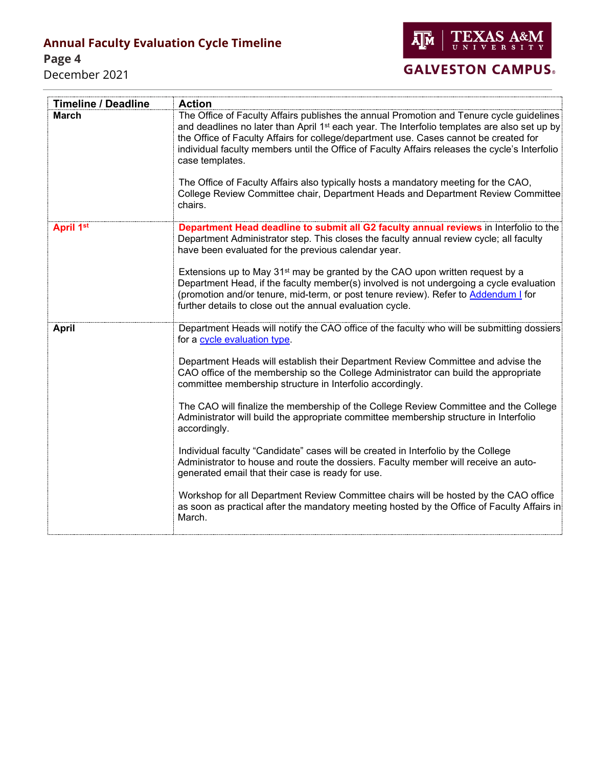**Page 4** 

December 2021



# **GALVESTON CAMPUS.**

| <b>Timeline / Deadline</b> | <b>Action</b>                                                                                                                                                                                                                                                                                                                                                                                                                                                                                                                                                                                            |
|----------------------------|----------------------------------------------------------------------------------------------------------------------------------------------------------------------------------------------------------------------------------------------------------------------------------------------------------------------------------------------------------------------------------------------------------------------------------------------------------------------------------------------------------------------------------------------------------------------------------------------------------|
| <b>March</b>               | The Office of Faculty Affairs publishes the annual Promotion and Tenure cycle guidelines<br>and deadlines no later than April 1 <sup>st</sup> each year. The Interfolio templates are also set up by<br>the Office of Faculty Affairs for college/department use. Cases cannot be created for<br>individual faculty members until the Office of Faculty Affairs releases the cycle's Interfolio<br>case templates.<br>The Office of Faculty Affairs also typically hosts a mandatory meeting for the CAO,<br>College Review Committee chair, Department Heads and Department Review Committee<br>chairs. |
| April 1st                  | Department Head deadline to submit all G2 faculty annual reviews in Interfolio to the<br>Department Administrator step. This closes the faculty annual review cycle; all faculty<br>have been evaluated for the previous calendar year.                                                                                                                                                                                                                                                                                                                                                                  |
|                            | Extensions up to May 31 <sup>st</sup> may be granted by the CAO upon written request by a<br>Department Head, if the faculty member(s) involved is not undergoing a cycle evaluation<br>(promotion and/or tenure, mid-term, or post tenure review). Refer to Addendum I for<br>further details to close out the annual evaluation cycle.                                                                                                                                                                                                                                                                 |
| <b>April</b>               | Department Heads will notify the CAO office of the faculty who will be submitting dossiers<br>for a cycle evaluation type.                                                                                                                                                                                                                                                                                                                                                                                                                                                                               |
|                            | Department Heads will establish their Department Review Committee and advise the<br>CAO office of the membership so the College Administrator can build the appropriate<br>committee membership structure in Interfolio accordingly.                                                                                                                                                                                                                                                                                                                                                                     |
|                            | The CAO will finalize the membership of the College Review Committee and the College<br>Administrator will build the appropriate committee membership structure in Interfolio<br>accordingly.                                                                                                                                                                                                                                                                                                                                                                                                            |
|                            | Individual faculty "Candidate" cases will be created in Interfolio by the College<br>Administrator to house and route the dossiers. Faculty member will receive an auto-<br>generated email that their case is ready for use.                                                                                                                                                                                                                                                                                                                                                                            |
|                            | Workshop for all Department Review Committee chairs will be hosted by the CAO office<br>as soon as practical after the mandatory meeting hosted by the Office of Faculty Affairs in<br>March.                                                                                                                                                                                                                                                                                                                                                                                                            |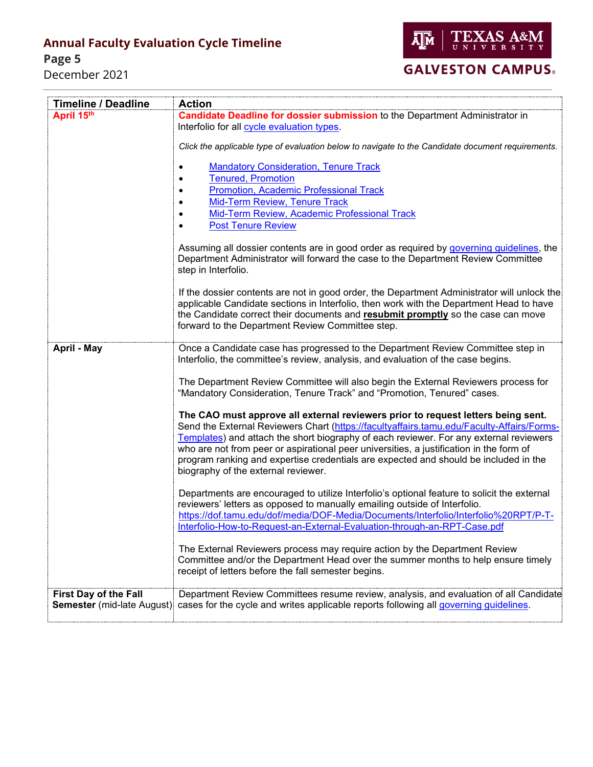**Page 5** 

December 2021



| <b>Timeline / Deadline</b>        | <b>Action</b>                                                                                                                                                                                                                                                                                                                  |
|-----------------------------------|--------------------------------------------------------------------------------------------------------------------------------------------------------------------------------------------------------------------------------------------------------------------------------------------------------------------------------|
| April 15th                        | Candidate Deadline for dossier submission to the Department Administrator in                                                                                                                                                                                                                                                   |
|                                   | Interfolio for all cycle evaluation types.                                                                                                                                                                                                                                                                                     |
|                                   | Click the applicable type of evaluation below to navigate to the Candidate document requirements.                                                                                                                                                                                                                              |
|                                   | <b>Mandatory Consideration, Tenure Track</b>                                                                                                                                                                                                                                                                                   |
|                                   | <b>Tenured, Promotion</b>                                                                                                                                                                                                                                                                                                      |
|                                   | Promotion, Academic Professional Track                                                                                                                                                                                                                                                                                         |
|                                   | Mid-Term Review, Tenure Track                                                                                                                                                                                                                                                                                                  |
|                                   | Mid-Term Review, Academic Professional Track                                                                                                                                                                                                                                                                                   |
|                                   | <b>Post Tenure Review</b>                                                                                                                                                                                                                                                                                                      |
|                                   | Assuming all dossier contents are in good order as required by governing quidelines, the<br>Department Administrator will forward the case to the Department Review Committee<br>step in Interfolio.                                                                                                                           |
|                                   | If the dossier contents are not in good order, the Department Administrator will unlock the<br>applicable Candidate sections in Interfolio, then work with the Department Head to have<br>the Candidate correct their documents and resubmit promptly so the case can move<br>forward to the Department Review Committee step. |
| April - May                       | Once a Candidate case has progressed to the Department Review Committee step in<br>Interfolio, the committee's review, analysis, and evaluation of the case begins.                                                                                                                                                            |
|                                   | The Department Review Committee will also begin the External Reviewers process for<br>"Mandatory Consideration, Tenure Track" and "Promotion, Tenured" cases.                                                                                                                                                                  |
|                                   | The CAO must approve all external reviewers prior to request letters being sent.                                                                                                                                                                                                                                               |
|                                   | Send the External Reviewers Chart (https://facultyaffairs.tamu.edu/Faculty-Affairs/Forms-                                                                                                                                                                                                                                      |
|                                   | Templates) and attach the short biography of each reviewer. For any external reviewers                                                                                                                                                                                                                                         |
|                                   | who are not from peer or aspirational peer universities, a justification in the form of                                                                                                                                                                                                                                        |
|                                   | program ranking and expertise credentials are expected and should be included in the<br>biography of the external reviewer.                                                                                                                                                                                                    |
|                                   |                                                                                                                                                                                                                                                                                                                                |
|                                   | Departments are encouraged to utilize Interfolio's optional feature to solicit the external                                                                                                                                                                                                                                    |
|                                   | reviewers' letters as opposed to manually emailing outside of Interfolio.                                                                                                                                                                                                                                                      |
|                                   | https://dof.tamu.edu/dof/media/DOF-Media/Documents/Interfolio/Interfolio%20RPT/P-T-                                                                                                                                                                                                                                            |
|                                   | Interfolio-How-to-Request-an-External-Evaluation-through-an-RPT-Case.pdf                                                                                                                                                                                                                                                       |
|                                   | The External Reviewers process may require action by the Department Review<br>Committee and/or the Department Head over the summer months to help ensure timely<br>receipt of letters before the fall semester begins.                                                                                                         |
| <b>First Day of the Fall</b>      | Department Review Committees resume review, analysis, and evaluation of all Candidate                                                                                                                                                                                                                                          |
| <b>Semester</b> (mid-late August) | cases for the cycle and writes applicable reports following all governing guidelines.                                                                                                                                                                                                                                          |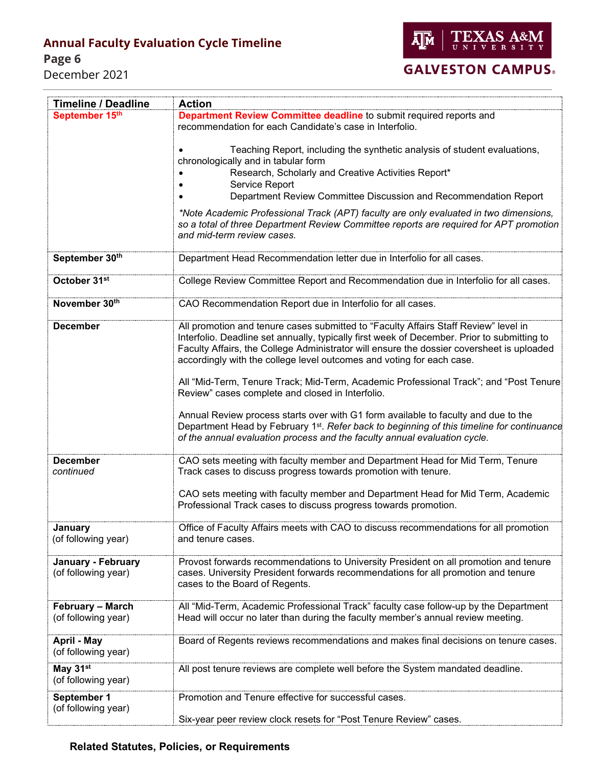**Page 6**

December 2021



# **GALVESTON CAMPUS.**

| <b>Timeline / Deadline</b> | <b>Action</b>                                                                                                                                                                                                 |
|----------------------------|---------------------------------------------------------------------------------------------------------------------------------------------------------------------------------------------------------------|
| September 15th             | Department Review Committee deadline to submit required reports and                                                                                                                                           |
|                            | recommendation for each Candidate's case in Interfolio.                                                                                                                                                       |
|                            |                                                                                                                                                                                                               |
|                            | Teaching Report, including the synthetic analysis of student evaluations,                                                                                                                                     |
|                            | chronologically and in tabular form                                                                                                                                                                           |
|                            | Research, Scholarly and Creative Activities Report*                                                                                                                                                           |
|                            | Service Report                                                                                                                                                                                                |
|                            | Department Review Committee Discussion and Recommendation Report                                                                                                                                              |
|                            |                                                                                                                                                                                                               |
|                            | *Note Academic Professional Track (APT) faculty are only evaluated in two dimensions,<br>so a total of three Department Review Committee reports are required for APT promotion<br>and mid-term review cases. |
| September 30th             | Department Head Recommendation letter due in Interfolio for all cases.                                                                                                                                        |
| October 31 <sup>st</sup>   | College Review Committee Report and Recommendation due in Interfolio for all cases.                                                                                                                           |
| November 30th              | CAO Recommendation Report due in Interfolio for all cases.                                                                                                                                                    |
| <b>December</b>            | All promotion and tenure cases submitted to "Faculty Affairs Staff Review" level in                                                                                                                           |
|                            | Interfolio. Deadline set annually, typically first week of December. Prior to submitting to                                                                                                                   |
|                            | Faculty Affairs, the College Administrator will ensure the dossier coversheet is uploaded                                                                                                                     |
|                            | accordingly with the college level outcomes and voting for each case.                                                                                                                                         |
|                            |                                                                                                                                                                                                               |
|                            | All "Mid-Term, Tenure Track; Mid-Term, Academic Professional Track"; and "Post Tenure                                                                                                                         |
|                            | Review" cases complete and closed in Interfolio.                                                                                                                                                              |
|                            |                                                                                                                                                                                                               |
|                            | Annual Review process starts over with G1 form available to faculty and due to the                                                                                                                            |
|                            | Department Head by February 1 <sup>st</sup> . Refer back to beginning of this timeline for continuance                                                                                                        |
|                            | of the annual evaluation process and the faculty annual evaluation cycle.                                                                                                                                     |
|                            |                                                                                                                                                                                                               |
| <b>December</b>            | CAO sets meeting with faculty member and Department Head for Mid Term, Tenure                                                                                                                                 |
| continued                  | Track cases to discuss progress towards promotion with tenure.                                                                                                                                                |
|                            |                                                                                                                                                                                                               |
|                            | CAO sets meeting with faculty member and Department Head for Mid Term, Academic                                                                                                                               |
|                            | Professional Track cases to discuss progress towards promotion.                                                                                                                                               |
|                            |                                                                                                                                                                                                               |
| January                    | Office of Faculty Affairs meets with CAO to discuss recommendations for all promotion                                                                                                                         |
| (of following year)        | and tenure cases.                                                                                                                                                                                             |
|                            |                                                                                                                                                                                                               |
| January - February         | Provost forwards recommendations to University President on all promotion and tenure                                                                                                                          |
| (of following year)        | cases. University President forwards recommendations for all promotion and tenure                                                                                                                             |
|                            | cases to the Board of Regents.                                                                                                                                                                                |
|                            |                                                                                                                                                                                                               |
| February - March           | All "Mid-Term, Academic Professional Track" faculty case follow-up by the Department                                                                                                                          |
| (of following year)        | Head will occur no later than during the faculty member's annual review meeting.                                                                                                                              |
|                            |                                                                                                                                                                                                               |
| April - May                | Board of Regents reviews recommendations and makes final decisions on tenure cases.                                                                                                                           |
| (of following year)        |                                                                                                                                                                                                               |
|                            |                                                                                                                                                                                                               |
| May 31 <sup>st</sup>       | All post tenure reviews are complete well before the System mandated deadline.                                                                                                                                |
| (of following year)        |                                                                                                                                                                                                               |
| September 1                | Promotion and Tenure effective for successful cases.                                                                                                                                                          |
| (of following year)        |                                                                                                                                                                                                               |
|                            | Six-year peer review clock resets for "Post Tenure Review" cases.                                                                                                                                             |
|                            |                                                                                                                                                                                                               |

### **Related Statutes, Policies, or Requirements**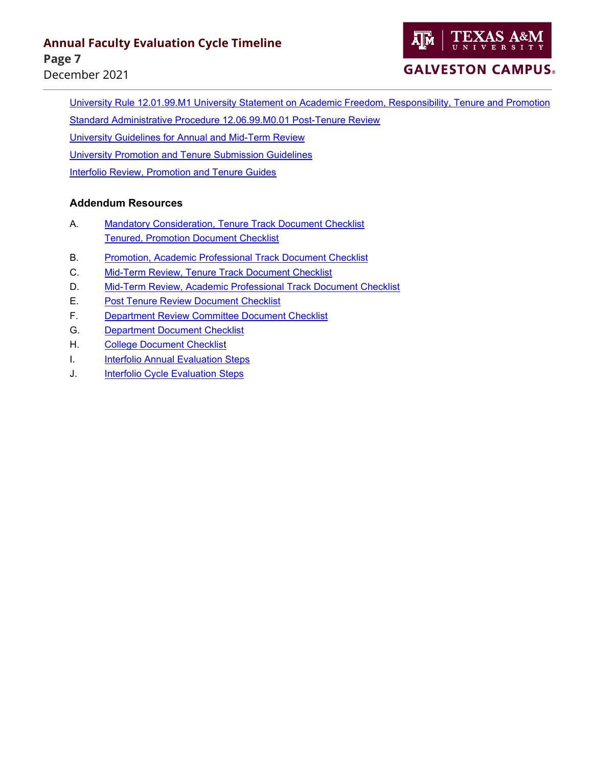

# **GALVESTON CAMPUS.**

[University Rule 12.01.99.M1 University Statement on Academic Freedom, Responsibility, Tenure and Promotion](https://rules-saps.tamu.edu/PDFs/12.01.99.M1.pdf) [Standard Administrative Procedure 12.06.99.M0.01 Post-Tenure Review](https://rules-saps.tamu.edu/PDFs/12.06.99.M0.01.pdf) [University Guidelines for Annual and Mid-Term Review](https://dof.tamu.edu/dof/media/DOF-Media/Documents/Faculty%20Evaluation%20Guidelines/Guidelines-for-Annual-Midterm-Review_1.pdf) [University Promotion and Tenure Submission Guidelines](https://dof.tamu.edu/Career/Faculty-Evaluation-Guidelines)  [Interfolio Review, Promotion and Tenure Guides](https://dof.tamu.edu/Faculty-Affairs/Interfolio)

#### **Addendum Resources**

- A. [Mandatory Consideration, Tenure Track Document Checklist](#page-7-0) [Tenured, Promotion Document Checklist](#page-7-0)
- B. [Promotion, Academic Professional Track Document Checklist](#page-8-0)
- C. [Mid-Term Review, Tenure Track Document Checklist](#page-9-0)
- D. [Mid-Term Review, Academic Professional Track Document Checklist](#page-10-0)
- E. [Post Tenure Review Document Checklist](#page-11-0)
- F. [Department Review Committee Document Checklist](#page-12-0)
- G. [Department Document Checklist](#page-15-0)
- H. [College Document Checklist](#page-16-0)
- I. [Interfolio Annual Evaluation Steps](#page-17-0)
- J. [Interfolio Cycle Evaluation Steps](#page-18-0)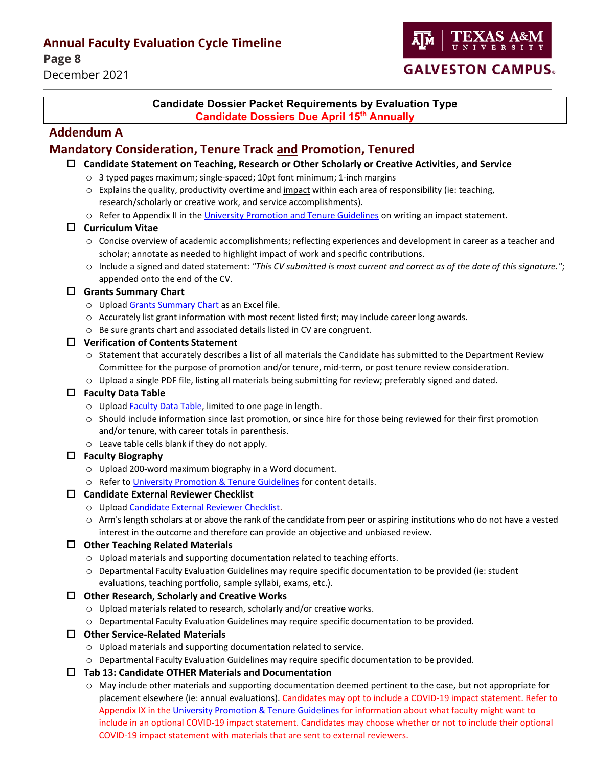**Page 8** 

December 2021

### **GALVESTON CAMPUS.**

#### **Candidate Dossier Packet Requirements by Evaluation Type Candidate Dossiers Due April 15th Annually**

### **Addendum A**

### <span id="page-7-0"></span>**Mandatory Consideration, Tenure Track and Promotion, Tenured**

#### **Candidate Statement on Teaching, Research or Other Scholarly or Creative Activities, and Service**

- o 3 typed pages maximum; single-spaced; 10pt font minimum; 1-inch margins
- $\circ$  Explains the quality, productivity overtime and impact within each area of responsibility (ie: teaching, research/scholarly or creative work, and service accomplishments).
- o Refer to Appendix II in the [University Promotion and Tenure Guidelines](https://facultyaffairs.tamu.edu/Career/Promotion-and-Tenure) on writing an impact statement.

#### **Curriculum Vitae**

- o Concise overview of academic accomplishments; reflecting experiences and development in career as a teacher and scholar; annotate as needed to highlight impact of work and specific contributions.
- o Include a signed and dated statement: *"This CV submitted is most current and correct as of the date of this signature."*; appended onto the end of the CV.

#### **Grants Summary Chart**

- o Upload Grants [Summary Chart](https://facultyaffairs.tamu.edu/Faculty-Affairs/Forms-Templates) as an Excel file.
- o Accurately list grant information with most recent listed first; may include career long awards.
- o Be sure grants chart and associated details listed in CV are congruent.

#### **Verification of Contents Statement**

- o Statement that accurately describes a list of all materials the Candidate has submitted to the Department Review Committee for the purpose of promotion and/or tenure, mid-term, or post tenure review consideration.
- o Upload a single PDF file, listing all materials being submitting for review; preferably signed and dated.

#### **Faculty Data Table**

- o Upload [Faculty Data Table,](https://facultyaffairs.tamu.edu/Faculty-Affairs/Forms-Templates) limited to one page in length.
- o Should include information since last promotion, or since hire for those being reviewed for their first promotion and/or tenure, with career totals in parenthesis.
- o Leave table cells blank if they do not apply.

#### **Faculty Biography**

- o Upload 200-word maximum biography in a Word document.
- o Refer to [University Promotion & Tenure Guidelines](https://facultyaffairs.tamu.edu/Career/Promotion-and-Tenure) for content details.

#### **Candidate External Reviewer Checklist**

- o Upload Candidate [External Reviewer Checklist.](https://facultyaffairs.tamu.edu/Faculty-Affairs/Forms-Templates)
- o Arm's length scholars at or above the rank of the candidate from peer or aspiring institutions who do not have a vested interest in the outcome and therefore can provide an objective and unbiased review.

#### **Other Teaching Related Materials**

- o Upload materials and supporting documentation related to teaching efforts.
- o Departmental Faculty Evaluation Guidelines may require specific documentation to be provided (ie: student evaluations, teaching portfolio, sample syllabi, exams, etc.).

#### **Other Research, Scholarly and Creative Works**

- o Upload materials related to research, scholarly and/or creative works.
- o Departmental Faculty Evaluation Guidelines may require specific documentation to be provided.

#### **Other Service-Related Materials**

- o Upload materials and supporting documentation related to service.
- o Departmental Faculty Evaluation Guidelines may require specific documentation to be provided.

#### **Tab 13: Candidate OTHER Materials and Documentation**

o May include other materials and supporting documentation deemed pertinent to the case, but not appropriate for placement elsewhere (ie: annual evaluations). Candidates may opt to include a COVID-19 impact statement. Refer to Appendix IX in th[e University Promotion & Tenure Guidelines](https://facultyaffairs.tamu.edu/Career/Promotion-and-Tenure) for information about what faculty might want to include in an optional COVID-19 impact statement. Candidates may choose whether or not to include their optional COVID-19 impact statement with materials that are sent to external reviewers.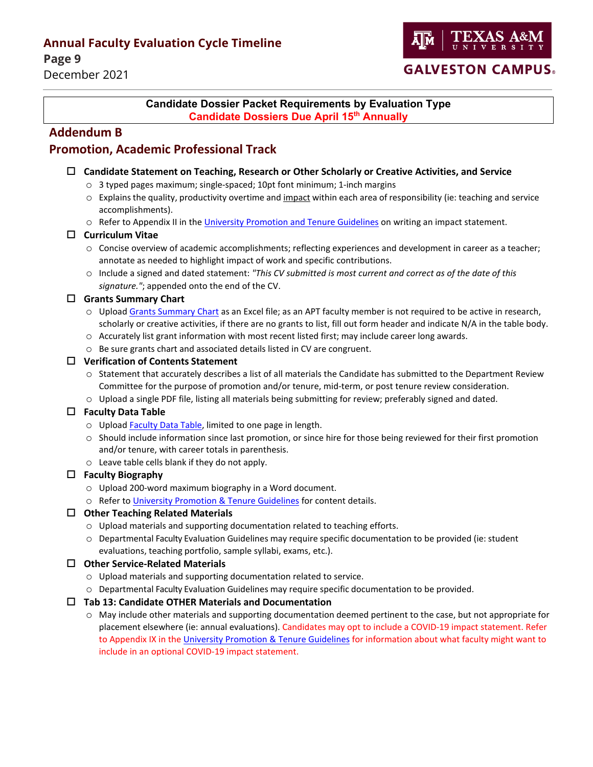**Page 9** 

December 2021



#### <span id="page-8-0"></span>**Candidate Dossier Packet Requirements by Evaluation Type Candidate Dossiers Due April 15th Annually**

### **Addendum B**

### **Promotion, Academic Professional Track**

#### **Candidate Statement on Teaching, Research or Other Scholarly or Creative Activities, and Service**

- o 3 typed pages maximum; single-spaced; 10pt font minimum; 1-inch margins
- $\circ$  Explains the quality, productivity overtime and impact within each area of responsibility (ie: teaching and service accomplishments).
- o Refer to Appendix II in the [University Promotion and Tenure Guidelines](https://facultyaffairs.tamu.edu/Career/Promotion-and-Tenure) on writing an impact statement.

#### **Curriculum Vitae**

- o Concise overview of academic accomplishments; reflecting experiences and development in career as a teacher; annotate as needed to highlight impact of work and specific contributions.
- o Include a signed and dated statement: *"This CV submitted is most current and correct as of the date of this signature."*; appended onto the end of the CV.

#### **Grants Summary Chart**

- o Upload Grants [Summary Chart](https://facultyaffairs.tamu.edu/Faculty-Affairs/Forms-Templates) as an Excel file; as an APT faculty member is not required to be active in research, scholarly or creative activities, if there are no grants to list, fill out form header and indicate N/A in the table body.
- o Accurately list grant information with most recent listed first; may include career long awards.
- o Be sure grants chart and associated details listed in CV are congruent.

#### **Verification of Contents Statement**

- o Statement that accurately describes a list of all materials the Candidate has submitted to the Department Review Committee for the purpose of promotion and/or tenure, mid-term, or post tenure review consideration.
- o Upload a single PDF file, listing all materials being submitting for review; preferably signed and dated.

#### **Faculty Data Table**

- o Upload [Faculty Data Table,](https://facultyaffairs.tamu.edu/Faculty-Affairs/Forms-Templates) limited to one page in length.
- o Should include information since last promotion, or since hire for those being reviewed for their first promotion and/or tenure, with career totals in parenthesis.
- o Leave table cells blank if they do not apply.

#### **Faculty Biography**

- o Upload 200-word maximum biography in a Word document.
- o Refer to [University Promotion & Tenure Guidelines](https://facultyaffairs.tamu.edu/Career/Promotion-and-Tenure) for content details.

#### **Other Teaching Related Materials**

- o Upload materials and supporting documentation related to teaching efforts.
- o Departmental Faculty Evaluation Guidelines may require specific documentation to be provided (ie: student evaluations, teaching portfolio, sample syllabi, exams, etc.).

#### **Other Service-Related Materials**

- o Upload materials and supporting documentation related to service.
- o Departmental Faculty Evaluation Guidelines may require specific documentation to be provided.

#### **Tab 13: Candidate OTHER Materials and Documentation**

o May include other materials and supporting documentation deemed pertinent to the case, but not appropriate for placement elsewhere (ie: annual evaluations). Candidates may opt to include a COVID-19 impact statement. Refer to Appendix IX in th[e University Promotion & Tenure Guidelines](https://facultyaffairs.tamu.edu/Career/Promotion-and-Tenure) for information about what faculty might want to include in an optional COVID-19 impact statement.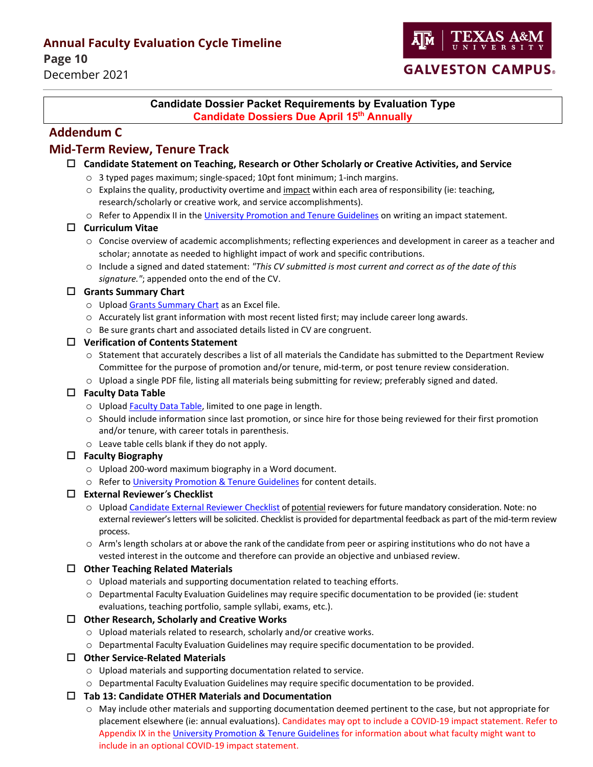**Page 10** December 2021



#### <span id="page-9-0"></span>**Candidate Dossier Packet Requirements by Evaluation Type Candidate Dossiers Due April 15th Annually**

### **Addendum C**

### **Mid-Term Review, Tenure Track**

- **Candidate Statement on Teaching, Research or Other Scholarly or Creative Activities, and Service**
	- o 3 typed pages maximum; single-spaced; 10pt font minimum; 1-inch margins.
	- $\circ$  Explains the quality, productivity overtime and impact within each area of responsibility (ie: teaching, research/scholarly or creative work, and service accomplishments).
	- o Refer to Appendix II in the [University Promotion and Tenure Guidelines](https://facultyaffairs.tamu.edu/Career/Promotion-and-Tenure) on writing an impact statement.

#### **Curriculum Vitae**

- o Concise overview of academic accomplishments; reflecting experiences and development in career as a teacher and scholar; annotate as needed to highlight impact of work and specific contributions.
- o Include a signed and dated statement: *"This CV submitted is most current and correct as of the date of this signature."*; appended onto the end of the CV.

#### **Grants Summary Chart**

- o Upload Grants [Summary Chart](https://facultyaffairs.tamu.edu/Faculty-Affairs/Forms-Templates) as an Excel file.
- o Accurately list grant information with most recent listed first; may include career long awards.
- o Be sure grants chart and associated details listed in CV are congruent.

#### **Verification of Contents Statement**

- o Statement that accurately describes a list of all materials the Candidate has submitted to the Department Review Committee for the purpose of promotion and/or tenure, mid-term, or post tenure review consideration.
- o Upload a single PDF file, listing all materials being submitting for review; preferably signed and dated.

#### **Faculty Data Table**

- o Upload [Faculty Data Table,](https://facultyaffairs.tamu.edu/Faculty-Affairs/Forms-Templates) limited to one page in length.
- o Should include information since last promotion, or since hire for those being reviewed for their first promotion and/or tenure, with career totals in parenthesis.
- o Leave table cells blank if they do not apply.

#### **Faculty Biography**

- o Upload 200-word maximum biography in a Word document.
- o Refer to [University Promotion & Tenure Guidelines](https://facultyaffairs.tamu.edu/Career/Promotion-and-Tenure) for content details.

#### **External Reviewer***'***s Checklist**

- o Upload Candidate [External Reviewer Checklist](https://facultyaffairs.tamu.edu/Faculty-Affairs/Forms-Templates) of potential reviewers for future mandatory consideration. Note: no external reviewer's letters will be solicited. Checklist is provided for departmental feedback as part of the mid-term review process.
- o Arm's length scholars at or above the rank of the candidate from peer or aspiring institutions who do not have a vested interest in the outcome and therefore can provide an objective and unbiased review.

#### **Other Teaching Related Materials**

- o Upload materials and supporting documentation related to teaching efforts.
- o Departmental Faculty Evaluation Guidelines may require specific documentation to be provided (ie: student evaluations, teaching portfolio, sample syllabi, exams, etc.).

#### **Other Research, Scholarly and Creative Works**

- o Upload materials related to research, scholarly and/or creative works.
- o Departmental Faculty Evaluation Guidelines may require specific documentation to be provided.

#### **Other Service-Related Materials**

- o Upload materials and supporting documentation related to service.
- o Departmental Faculty Evaluation Guidelines may require specific documentation to be provided.

#### **Tab 13: Candidate OTHER Materials and Documentation**

o May include other materials and supporting documentation deemed pertinent to the case, but not appropriate for placement elsewhere (ie: annual evaluations). Candidates may opt to include a COVID-19 impact statement. Refer to Appendix IX in th[e University Promotion & Tenure Guidelines](https://facultyaffairs.tamu.edu/Career/Promotion-and-Tenure) for information about what faculty might want to include in an optional COVID-19 impact statement.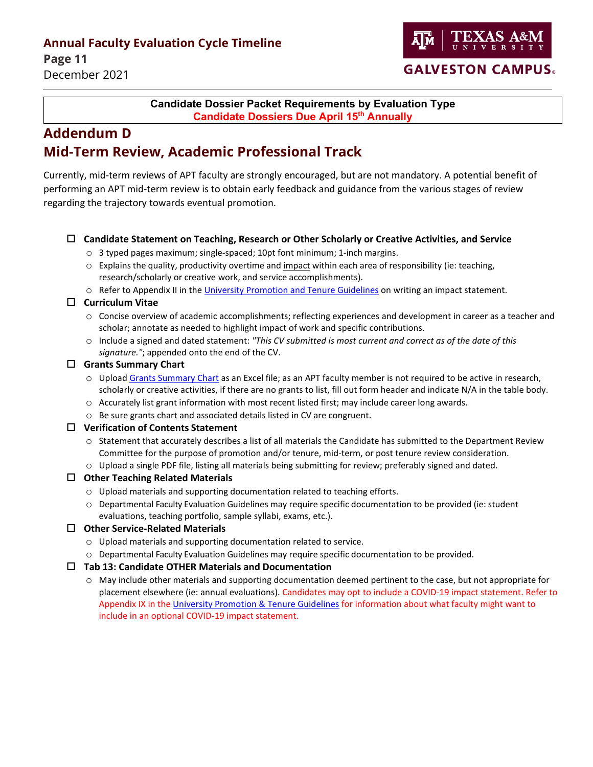**Page 11** December 2021



### **GALVESTON CAMPUS.**

### <span id="page-10-0"></span>**Candidate Dossier Packet Requirements by Evaluation Type Candidate Dossiers Due April 15th Annually**

# **Addendum D Mid-Term Review, Academic Professional Track**

Currently, mid-term reviews of APT faculty are strongly encouraged, but are not mandatory. A potential benefit of performing an APT mid-term review is to obtain early feedback and guidance from the various stages of review regarding the trajectory towards eventual promotion.

#### **Candidate Statement on Teaching, Research or Other Scholarly or Creative Activities, and Service**

- $\circ$  3 typed pages maximum; single-spaced; 10pt font minimum; 1-inch margins.
- o Explains the quality, productivity overtime and impact within each area of responsibility (ie: teaching, research/scholarly or creative work, and service accomplishments).
- o Refer to Appendix II in the [University Promotion and Tenure Guidelines](https://facultyaffairs.tamu.edu/Career/Promotion-and-Tenure) on writing an impact statement.

#### **Curriculum Vitae**

- o Concise overview of academic accomplishments; reflecting experiences and development in career as a teacher and scholar; annotate as needed to highlight impact of work and specific contributions.
- o Include a signed and dated statement: *"This CV submitted is most current and correct as of the date of this signature."*; appended onto the end of the CV.

#### **Grants Summary Chart**

- o Upload Grants [Summary Chart](https://facultyaffairs.tamu.edu/Faculty-Affairs/Forms-Templates) as an Excel file; as an APT faculty member is not required to be active in research, scholarly or creative activities, if there are no grants to list, fill out form header and indicate N/A in the table body.
- o Accurately list grant information with most recent listed first; may include career long awards.
- o Be sure grants chart and associated details listed in CV are congruent.

#### **Verification of Contents Statement**

- o Statement that accurately describes a list of all materials the Candidate has submitted to the Department Review Committee for the purpose of promotion and/or tenure, mid-term, or post tenure review consideration.
- o Upload a single PDF file, listing all materials being submitting for review; preferably signed and dated.

#### **Other Teaching Related Materials**

- o Upload materials and supporting documentation related to teaching efforts.
- o Departmental Faculty Evaluation Guidelines may require specific documentation to be provided (ie: student evaluations, teaching portfolio, sample syllabi, exams, etc.).

#### **Other Service-Related Materials**

- o Upload materials and supporting documentation related to service.
- o Departmental Faculty Evaluation Guidelines may require specific documentation to be provided.

#### **Tab 13: Candidate OTHER Materials and Documentation**

o May include other materials and supporting documentation deemed pertinent to the case, but not appropriate for placement elsewhere (ie: annual evaluations). Candidates may opt to include a COVID-19 impact statement. Refer to Appendix IX in th[e University Promotion & Tenure Guidelines](https://facultyaffairs.tamu.edu/Career/Promotion-and-Tenure) for information about what faculty might want to include in an optional COVID-19 impact statement.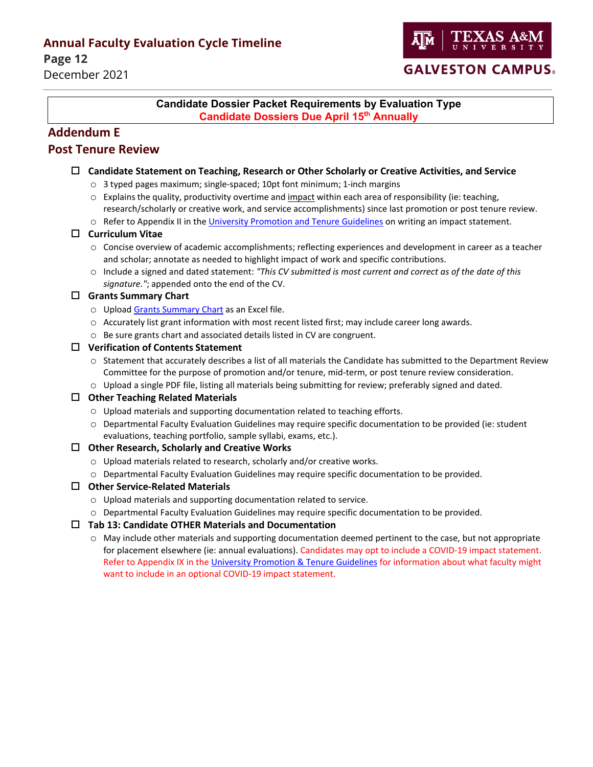**Page 12** December 2021



#### <span id="page-11-0"></span>**Candidate Dossier Packet Requirements by Evaluation Type Candidate Dossiers Due April 15th Annually**

### **Addendum E**

### **Post Tenure Review**

#### **Candidate Statement on Teaching, Research or Other Scholarly or Creative Activities, and Service**

- o 3 typed pages maximum; single-spaced; 10pt font minimum; 1-inch margins
- $\circ$  Explains the quality, productivity overtime and impact within each area of responsibility (ie: teaching, research/scholarly or creative work, and service accomplishments) since last promotion or post tenure review.
- o Refer to Appendix II in th[e University Promotion and Tenure Guidelines](https://facultyaffairs.tamu.edu/Career/Promotion-and-Tenure) on writing an impact statement.

#### **Curriculum Vitae**

- o Concise overview of academic accomplishments; reflecting experiences and development in career as a teacher and scholar; annotate as needed to highlight impact of work and specific contributions.
- o Include a signed and dated statement: *"This CV submitted is most current and correct as of the date of this signature."*; appended onto the end of the CV.

#### **Grants Summary Chart**

- o Upload Grants [Summary Chart](https://facultyaffairs.tamu.edu/Faculty-Affairs/Forms) as an Excel file.
- o Accurately list grant information with most recent listed first; may include career long awards.
- o Be sure grants chart and associated details listed in CV are congruent.

#### **Verification of Contents Statement**

- $\circ$  Statement that accurately describes a list of all materials the Candidate has submitted to the Department Review Committee for the purpose of promotion and/or tenure, mid-term, or post tenure review consideration.
- o Upload a single PDF file, listing all materials being submitting for review; preferably signed and dated.

#### **Other Teaching Related Materials**

- o Upload materials and supporting documentation related to teaching efforts.
- o Departmental Faculty Evaluation Guidelines may require specific documentation to be provided (ie: student evaluations, teaching portfolio, sample syllabi, exams, etc.).

#### **Other Research, Scholarly and Creative Works**

- o Upload materials related to research, scholarly and/or creative works.
- o Departmental Faculty Evaluation Guidelines may require specific documentation to be provided.

#### **Other Service-Related Materials**

- o Upload materials and supporting documentation related to service.
- o Departmental Faculty Evaluation Guidelines may require specific documentation to be provided.

#### **Tab 13: Candidate OTHER Materials and Documentation**

o May include other materials and supporting documentation deemed pertinent to the case, but not appropriate for placement elsewhere (ie: annual evaluations). Candidates may opt to include a COVID-19 impact statement. Refer to Appendix IX in the [University Promotion & Tenure Guidelines](https://facultyaffairs.tamu.edu/Career/Promotion-and-Tenure) for information about what faculty might want to include in an optional COVID-19 impact statement.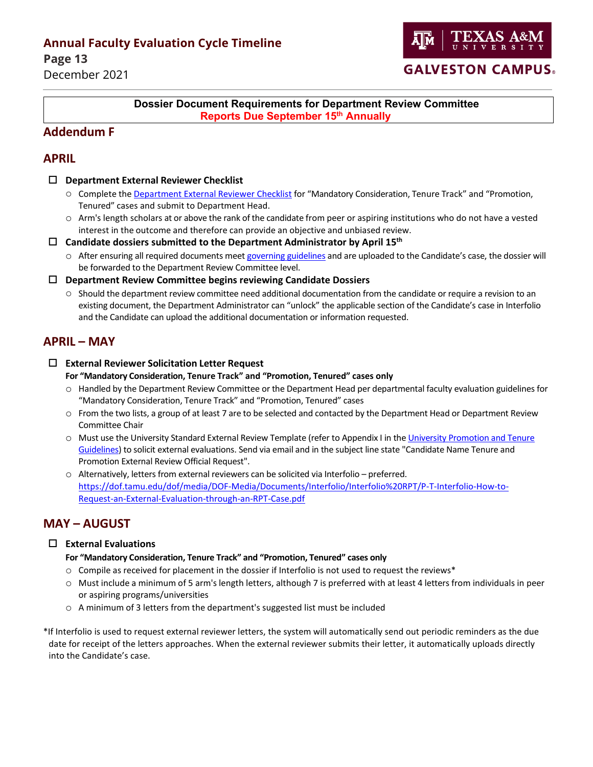**Page 13** December 2021



### <span id="page-12-0"></span>**Dossier Document Requirements for Department Review Committee Reports Due September 15th Annually**

### **Addendum F**

### **APRIL**

- **Department External Reviewer Checklist**
	- o Complete the [Department](https://facultyaffairs.tamu.edu/Faculty-Affairs/Forms-Templates) External Reviewer [Checklist](http://dof.tamu.edu/DOF-FORMS#0-Tenure%26PromotionForms) for "Mandatory Consideration, Tenure Track" and "Promotion, Tenured" cases and submit to Department Head.
	- o Arm's length scholars at or above the rank of the candidate from peer or aspiring institutions who do not have a vested interest in the outcome and therefore can provide an objective and unbiased review.
- **Candidate dossiers submitted to the Department Administrator by April 15th**
	- o After ensuring all required documents meet governing guidelines and are uploaded to the Candidate's case, the dossier will be forwarded to the Department Review Committee level.
- **Department Review Committee begins reviewing Candidate Dossiers**
	- $\circ$  Should the department review committee need additional documentation from the candidate or require a revision to an existing document, the Department Administrator can "unlock" the applicable section of the Candidate's case in Interfolio and the Candidate can upload the additional documentation or information requested.

### **APRIL – MAY**

**External Reviewer Solicitation Letter Request**

#### **For "Mandatory Consideration, Tenure Track" and "Promotion, Tenured" cases only**

- o Handled by the Department Review Committee or the Department Head per departmental faculty evaluation guidelines for "Mandatory Consideration, Tenure Track" and "Promotion, Tenured" cases
- $\circ$  From the two lists, a group of at least 7 are to be selected and contacted by the Department Head or Department Review Committee Chair
- o Must use the University Standard External Review Template (refer to Appendix I in th[e University Promotion and Tenure](https://facultyaffairs.tamu.edu/Career/Faculty-Evaluation-Guidelines)  [Guidelines\)](https://facultyaffairs.tamu.edu/Career/Faculty-Evaluation-Guidelines) to solicit external evaluations. Send via email and in the subject line state "Candidate Name Tenure and Promotion External Review Official Request".
- o Alternatively, letters from external reviewers can be solicited via Interfolio preferred. [https://dof.tamu.edu/dof/media/DOF-Media/Documents/Interfolio/Interfolio%20RPT/P-T-Interfolio-How-to-](https://dof.tamu.edu/dof/media/DOF-Media/Documents/Interfolio/Interfolio%20RPT/P-T-Interfolio-How-to-Request-an-External-Evaluation-through-an-RPT-Case.pdf)[Request-an-External-Evaluation-through-an-RPT-Case.pdf](https://dof.tamu.edu/dof/media/DOF-Media/Documents/Interfolio/Interfolio%20RPT/P-T-Interfolio-How-to-Request-an-External-Evaluation-through-an-RPT-Case.pdf)

### **MAY – AUGUST**

#### **External Evaluations**

#### **For "Mandatory Consideration, Tenure Track" and "Promotion, Tenured" cases only**

- $\circ$  Compile as received for placement in the dossier if Interfolio is not used to request the reviews\*
- o Must include a minimum of 5 arm's length letters, although 7 is preferred with at least 4 letters from individuals in peer or aspiring programs/universities
- o A minimum of 3 letters from the department's suggested list must be included

\*If Interfolio is used to request external reviewer letters, the system will automatically send out periodic reminders as the due date for receipt of the letters approaches. When the external reviewer submits their letter, it automatically uploads directly into the Candidate's case.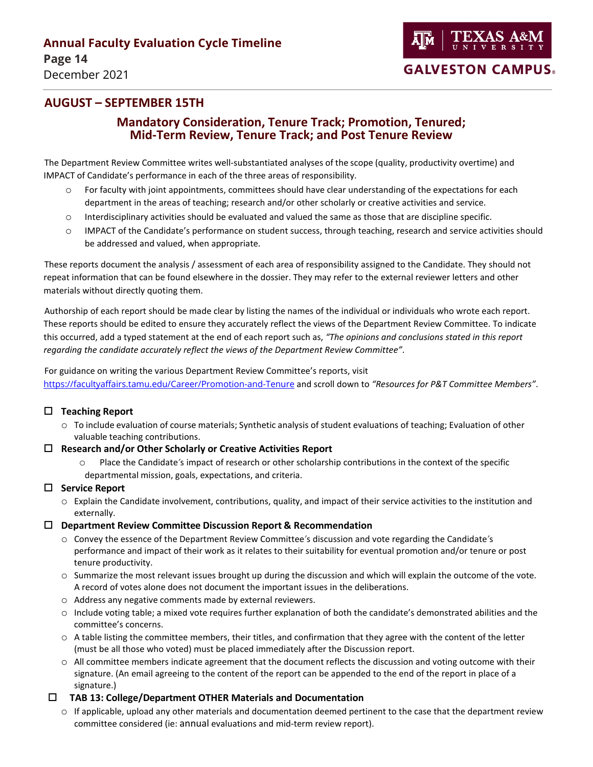

# December 2021

### **AUGUST – SEPTEMBER 15TH**

### **Mandatory Consideration, Tenure Track; Promotion, Tenured; Mid-Term Review, Tenure Track; and Post Tenure Review**

The Department Review Committee writes well-substantiated analyses of the scope (quality, productivity overtime) and IMPACT of Candidate's performance in each of the three areas of responsibility.

- o For faculty with joint appointments, committees should have clear understanding of the expectations for each department in the areas of teaching; research and/or other scholarly or creative activities and service.
- o Interdisciplinary activities should be evaluated and valued the same as those that are discipline specific.
- o IMPACT of the Candidate's performance on student success, through teaching, research and service activities should be addressed and valued, when appropriate.

These reports document the analysis / assessment of each area of responsibility assigned to the Candidate. They should not repeat information that can be found elsewhere in the dossier. They may refer to the external reviewer letters and other materials without directly quoting them.

Authorship of each report should be made clear by listing the names of the individual or individuals who wrote each report. These reports should be edited to ensure they accurately reflect the views of the Department Review Committee. To indicate this occurred, add a typed statement at the end of each report such as, *"The opinions and conclusions stated in this report regarding the candidate accurately reflect the views of the Department Review Committee"*.

For guidance on writing the various Department Review Committee's reports, visit <https://facultyaffairs.tamu.edu/Career/Promotion-and-Tenure> and scroll down to *"Resources for P&T Committee Members"*.

#### **Teaching Report**

 $\circ$  To include evaluation of course materials; Synthetic analysis of student evaluations of teaching; Evaluation of other valuable teaching contributions.

#### **Research and/or Other Scholarly or Creative Activities Report**

Place the Candidate's impact of research or other scholarship contributions in the context of the specific departmental mission, goals, expectations, and criteria.

#### **Service Report**

- o Explain the Candidate involvement, contributions, quality, and impact of their service activities to the institution and externally.
- **Department Review Committee Discussion Report & Recommendation**
	- o Convey the essence of the Department Review Committee*'*s discussion and vote regarding the Candidate*'*s performance and impact of their work as it relates to their suitability for eventual promotion and/or tenure or post tenure productivity.
	- $\circ$  Summarize the most relevant issues brought up during the discussion and which will explain the outcome of the vote. A record of votes alone does not document the important issues in the deliberations.
	- o Address any negative comments made by external reviewers.
	- o Include voting table; a mixed vote requires further explanation of both the candidate's demonstrated abilities and the committee's concerns.
	- $\circ$  A table listing the committee members, their titles, and confirmation that they agree with the content of the letter (must be all those who voted) must be placed immediately after the Discussion report.
	- $\circ$  All committee members indicate agreement that the document reflects the discussion and voting outcome with their signature. (An email agreeing to the content of the report can be appended to the end of the report in place of a signature.)

#### **TAB 13: College/Department OTHER Materials and Documentation**

 $\circ$  If applicable, upload any other materials and documentation deemed pertinent to the case that the department review committee considered (ie: annual evaluations and mid-term review report).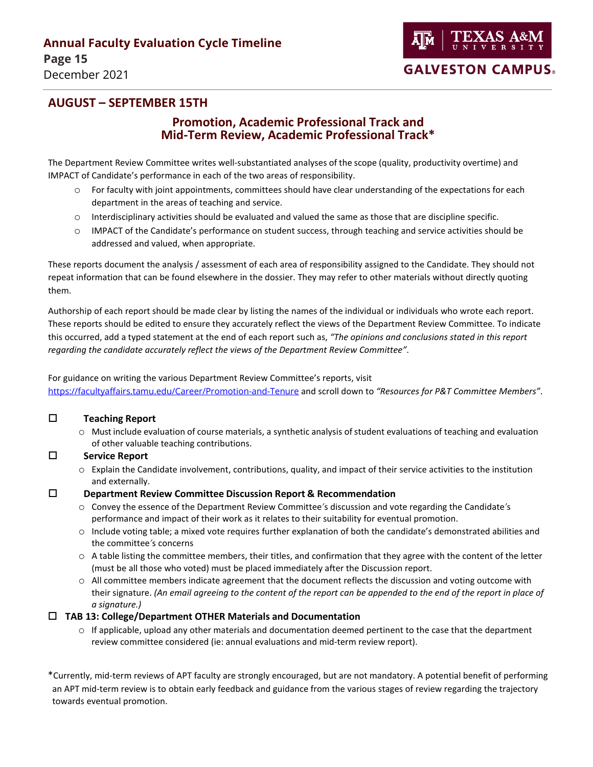### **AUGUST – SEPTEMBER 15TH**

### **Promotion, Academic Professional Track and Mid-Term Review, Academic Professional Track\***

The Department Review Committee writes well-substantiated analyses of the scope (quality, productivity overtime) and IMPACT of Candidate's performance in each of the two areas of responsibility.

- o For faculty with joint appointments, committees should have clear understanding of the expectations for each department in the areas of teaching and service.
- o Interdisciplinary activities should be evaluated and valued the same as those that are discipline specific.
- o IMPACT of the Candidate's performance on student success, through teaching and service activities should be addressed and valued, when appropriate.

These reports document the analysis / assessment of each area of responsibility assigned to the Candidate. They should not repeat information that can be found elsewhere in the dossier. They may refer to other materials without directly quoting them.

Authorship of each report should be made clear by listing the names of the individual or individuals who wrote each report. These reports should be edited to ensure they accurately reflect the views of the Department Review Committee. To indicate this occurred, add a typed statement at the end of each report such as, *"The opinions and conclusions stated in this report regarding the candidate accurately reflect the views of the Department Review Committee"*.

For guidance on writing the various Department Review Committee's reports, visit <https://facultyaffairs.tamu.edu/Career/Promotion-and-Tenure> and scroll down to *"Resources for P&T Committee Members"*.

#### **Teaching Report**

 $\circ$  Must include evaluation of course materials, a synthetic analysis of student evaluations of teaching and evaluation of other valuable teaching contributions.

#### **Service Report**

 $\circ$  Explain the Candidate involvement, contributions, quality, and impact of their service activities to the institution and externally.

#### **Department Review Committee Discussion Report & Recommendation**

- o Convey the essence of the Department Review Committee*'*s discussion and vote regarding the Candidate*'*s performance and impact of their work as it relates to their suitability for eventual promotion.
- o Include voting table; a mixed vote requires further explanation of both the candidate's demonstrated abilities and the committee*'*s concerns
- $\circ$  A table listing the committee members, their titles, and confirmation that they agree with the content of the letter (must be all those who voted) must be placed immediately after the Discussion report.
- o All committee members indicate agreement that the document reflects the discussion and voting outcome with their signature. *(An email agreeing to the content of the report can be appended to the end of the report in place of a signature.)*

#### **TAB 13: College/Department OTHER Materials and Documentation**

 $\circ$  If applicable, upload any other materials and documentation deemed pertinent to the case that the department review committee considered (ie: annual evaluations and mid-term review report).

\*Currently, mid-term reviews of APT faculty are strongly encouraged, but are not mandatory. A potential benefit of performing an APT mid-term review is to obtain early feedback and guidance from the various stages of review regarding the trajectory towards eventual promotion.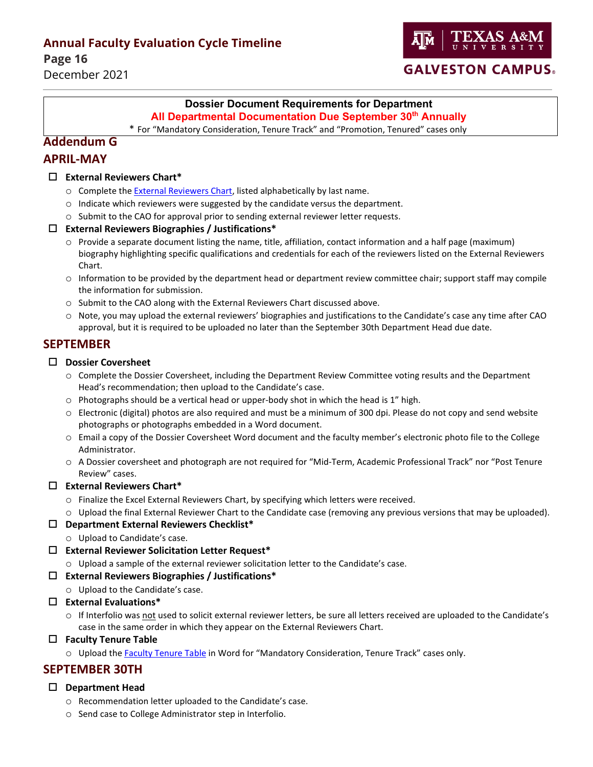**Page 16**

December 2021



### **GALVESTON CAMPUS.**

### **Dossier Document Requirements for Department**

**All Departmental Documentation Due September 30<sup>th</sup> Annually** 

<span id="page-15-0"></span>\* For "Mandatory Consideration, Tenure Track" and "Promotion, Tenured" cases only

#### **Addendum G**

### **APRIL-MAY**

#### **External Reviewers Chart\***

- o Complete the External [Reviewers](https://facultyaffairs.tamu.edu/Faculty-Affairs/Forms-Templates) Chart, listed alphabetically by last name.
- o Indicate which reviewers were suggested by the candidate versus the department.
- o Submit to the CAO for approval prior to sending external reviewer letter requests.

#### **External Reviewers Biographies / Justifications\***

- $\circ$  Provide a separate document listing the name, title, affiliation, contact information and a half page (maximum) biography highlighting specific qualifications and credentials for each of the reviewers listed on the External Reviewers Chart.
- $\circ$  Information to be provided by the department head or department review committee chair; support staff may compile the information for submission.
- o Submit to the CAO along with the External Reviewers Chart discussed above.
- o Note, you may upload the external reviewers' biographies and justifications to the Candidate's case any time after CAO approval, but it is required to be uploaded no later than the September 30th Department Head due date.

### **SEPTEMBER**

#### **Dossier Coversheet**

- o Complete the [Dossier Coversheet,](https://dof.tamu.edu/Faculty-Affairs/Forms) including the Department Review Committee voting results and the Department Head's recommendation; then upload to the Candidate's case.
- $\circ$  Photographs should be a vertical head or upper-body shot in which the head is 1" high.
- $\circ$  Electronic (digital) photos are also required and must be a minimum of 300 dpi. Please do not copy and send website photographs or photographs embedded in a Word document.
- o Email a copy of the Dossier Coversheet Word document and the faculty member's electronic photo file to the College Administrator.
- o A Dossier coversheet and photograph are not required for "Mid-Term, Academic Professional Track" nor "Post Tenure Review" cases.

#### **External Reviewers Chart\***

- o Finalize the Excel [External Reviewers Chart,](http://dof.tamu.edu/DOF-FORMS) by specifying which letters were received.
- $\circ$  Upload the final External Reviewer Chart to the Candidate case (removing any previous versions that may be uploaded).

#### **Department External Reviewers Checklist\***

- o Upload to Candidate's case.
- **External Reviewer Solicitation Letter Request\***
	- o Upload a sample of the external reviewer solicitation letter to the Candidate's case.

#### **External Reviewers Biographies / Justifications\***

- o Upload to the Candidate's case.
- **External Evaluations\***
	- o If Interfolio was not used to solicit external reviewer letters, be sure all letters received are uploaded to the Candidate's case in the same order in which they appear on the External Reviewers Chart.

#### **Faculty Tenure Table**

o Upload th[e Faculty Tenure Table](https://facultyaffairs.tamu.edu/Faculty-Affairs/Forms-Templates) in Word for "Mandatory Consideration, Tenure Track" cases only.

### **SEPTEMBER 30TH**

#### **Department Head**

- o Recommendation letter uploaded to the Candidate's case.
- o Send case to College Administrator step in Interfolio.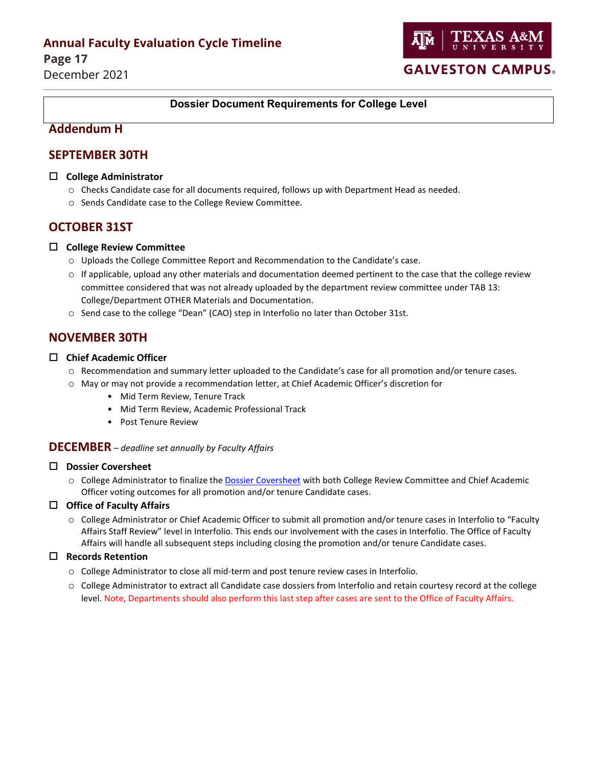**Page 17** December 2021



#### <span id="page-16-0"></span>**Dossier Document Requirements for College Level**

### **Addendum H**

### **SEPTEMBER 30TH**

#### **College Administrator**

- o Checks Candidate case for all documents required, follows up with Department Head as needed.
- o Sends Candidate case to the College Review Committee.

### **OCTOBER 31ST**

#### **College Review Committee**

- o Uploads the College Committee Report and Recommendation to the Candidate's case.
- $\circ$  If applicable, upload any other materials and documentation deemed pertinent to the case that the college review committee considered that was not already uploaded by the department review committee under TAB 13: College/Department OTHER Materials and Documentation.
- o Send case to the college "Dean" (CAO) step in Interfolio no later than October 31st.

### **NOVEMBER 30TH**

#### **Chief Academic Officer**

- o Recommendation and summary letter uploaded to the Candidate's case for all promotion and/or tenure cases.
- o May or may not provide a recommendation letter, at Chief Academic Officer's discretion for
	- Mid Term Review, Tenure Track
	- Mid Term Review, Academic Professional Track
	- Post Tenure Review

#### **DECEMBER** *– deadline set annually by Faculty Affairs*

#### **Dossier Coversheet**

o College Administrator to finalize the [Dossier Coversheet](https://facultyaffairs.tamu.edu/Faculty-Affairs/Forms-Templates) with both College Review Committee and Chief Academic Officer voting outcomes for all promotion and/or tenure Candidate cases.

#### **Office of Faculty Affairs**

o College Administrator or Chief Academic Officer to submit all promotion and/or tenure cases in Interfolio to "Faculty Affairs Staff Review" level in Interfolio. This ends our involvement with the cases in Interfolio. The Office of Faculty Affairs will handle all subsequent steps including closing the promotion and/or tenure Candidate cases.

#### **Records Retention**

- o College Administrator to close all mid-term and post tenure review cases in Interfolio.
- $\circ$  College Administrator to extract all Candidate case dossiers from Interfolio and retain courtesy record at the college level. Note, Departments should also perform this last step after cases are sent to the Office of Faculty Affairs.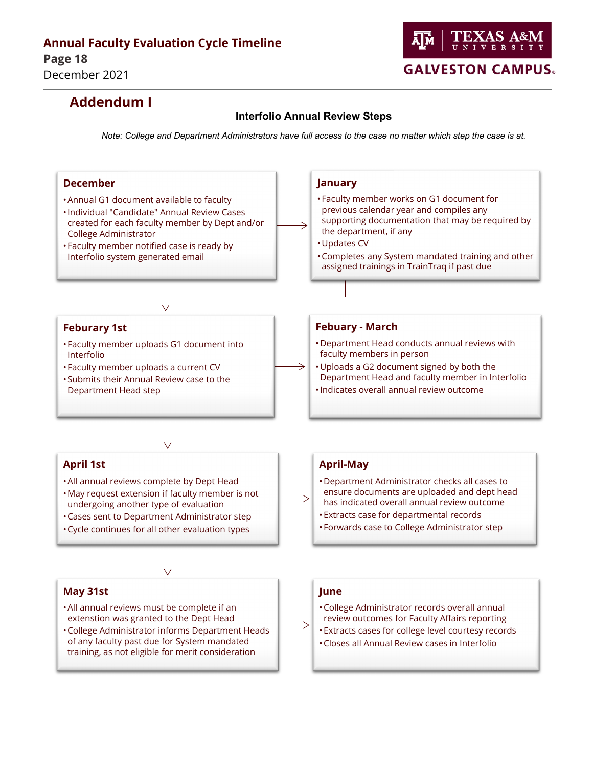

# **Addendum I**

#### **Interfolio Annual Review Steps**

<span id="page-17-0"></span>*Note: College and Department Administrators have full access to the case no matter which step the case is at.*